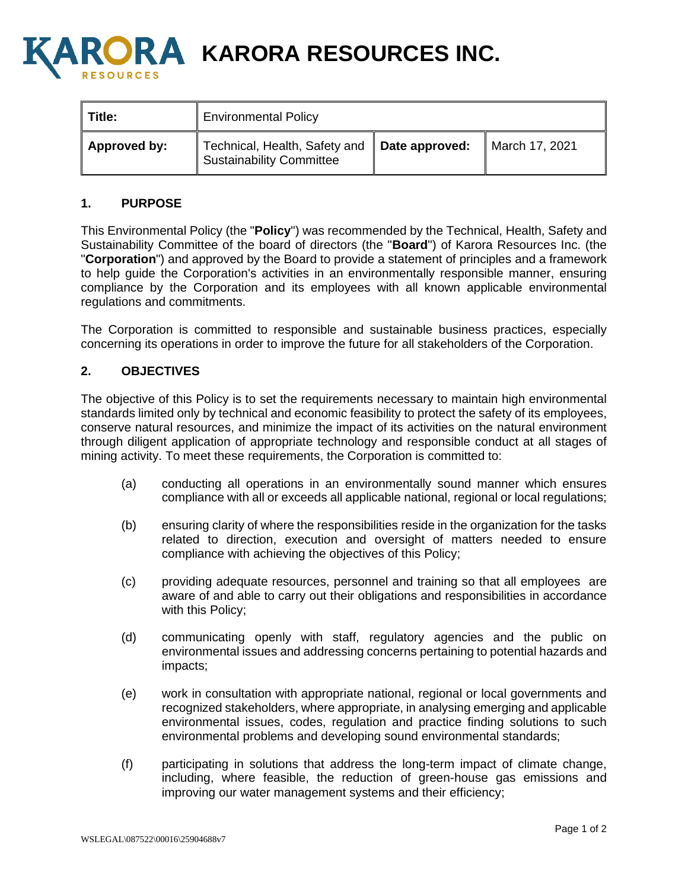

**A KARORA RESOURCES INC.** 

| Title:              | <b>Environmental Policy</b>                                                |  |                |
|---------------------|----------------------------------------------------------------------------|--|----------------|
| <b>Approved by:</b> | Technical, Health, Safety and   Date approved:<br>Sustainability Committee |  | March 17, 2021 |

## **1. PURPOSE**

This Environmental Policy (the "**Policy**") was recommended by the Technical, Health, Safety and Sustainability Committee of the board of directors (the "**Board**") of Karora Resources Inc. (the "**Corporation**") and approved by the Board to provide a statement of principles and a framework to help guide the Corporation's activities in an environmentally responsible manner, ensuring compliance by the Corporation and its employees with all known applicable environmental regulations and commitments.

The Corporation is committed to responsible and sustainable business practices, especially concerning its operations in order to improve the future for all stakeholders of the Corporation.

## **2. OBJECTIVES**

The objective of this Policy is to set the requirements necessary to maintain high environmental standards limited only by technical and economic feasibility to protect the safety of its employees, conserve natural resources, and minimize the impact of its activities on the natural environment through diligent application of appropriate technology and responsible conduct at all stages of mining activity. To meet these requirements, the Corporation is committed to:

- (a) conducting all operations in an environmentally sound manner which ensures compliance with all or exceeds all applicable national, regional or local regulations;
- (b) ensuring clarity of where the responsibilities reside in the organization for the tasks related to direction, execution and oversight of matters needed to ensure compliance with achieving the objectives of this Policy;
- (c) providing adequate resources, personnel and training so that all employees are aware of and able to carry out their obligations and responsibilities in accordance with this Policy;
- (d) communicating openly with staff, regulatory agencies and the public on environmental issues and addressing concerns pertaining to potential hazards and impacts;
- (e) work in consultation with appropriate national, regional or local governments and recognized stakeholders, where appropriate, in analysing emerging and applicable environmental issues, codes, regulation and practice finding solutions to such environmental problems and developing sound environmental standards;
- (f) participating in solutions that address the long-term impact of climate change, including, where feasible, the reduction of green-house gas emissions and improving our water management systems and their efficiency;